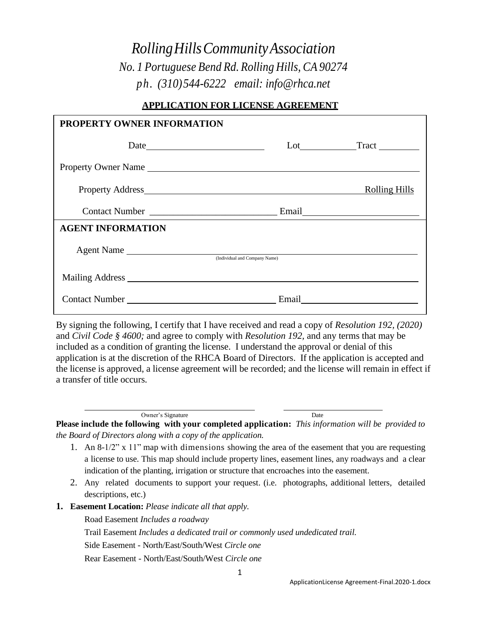# *RollingHillsCommunityAssociation No. 1 Portuguese Bend Rd. Rolling Hills, CA 90274 ph. (310)544-6222 email: info@rhca.net*

## **APPLICATION FOR LICENSE AGREEMENT**

| <b>PROPERTY OWNER INFORMATION</b> |                               |                             |
|-----------------------------------|-------------------------------|-----------------------------|
|                                   | Lot $\_\_$                    | $\frac{1}{2}$ Tract         |
| Property Owner Name               |                               |                             |
|                                   |                               | <b>Rolling Hills</b>        |
|                                   |                               |                             |
| <b>AGENT INFORMATION</b>          |                               |                             |
| Agent Name                        | (Individual and Company Name) |                             |
|                                   |                               |                             |
| Contact Number                    |                               | Email <u>______________</u> |

By signing the following, I certify that I have received and read a copy of *Resolution 192, (2020)*  and *Civil Code § 4600;* and agree to comply with *Resolution 192,* and any terms that may be included as a condition of granting the license.I understand the approval or denial of this application is at the discretion of the RHCA Board of Directors. If the application is accepted and the license is approved, a license agreement will be recorded; and the license will remain in effect if a transfer of title occurs.

Owner's Signature Date

**Please include the following with your completed application:** *This information will be provided to the Board of Directors along with a copy of the application.*

- 1. An  $8-1/2$ " x 11" map with dimensions showing the area of the easement that you are requesting a license to use. This map should include property lines, easement lines, any roadways and a clear indication of the planting, irrigation or structure that encroaches into the easement.
- 2. Any related documents to support your request. (i.e. photographs, additional letters, detailed descriptions, etc.)
- **1. Easement Location:** *Please indicate all that apply.*

Road Easement *Includes a roadway*

Trail Easement *Includes a dedicated trail or commonly used undedicated trail.*

Side Easement - North/East/South/West *Circle one*

Rear Easement - North/East/South/West *Circle one*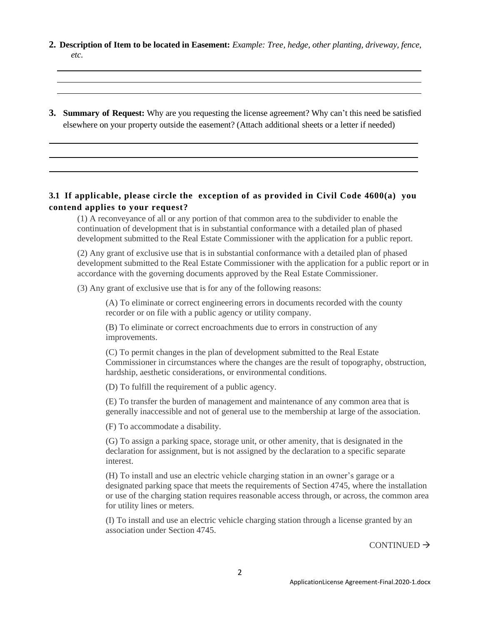**2. Description of Item to be located in Easement:** *Example: Tree, hedge, other planting, driveway, fence, etc.*

**3. Summary of Request:** Why are you requesting the license agreement? Why can't this need be satisfied elsewhere on your property outside the easement? (Attach additional sheets or a letter if needed)

### **3.1 If applicable, please circle the exception of as provided in Civil Code 4600(a) you contend applies to your request?**

(1) A reconveyance of all or any portion of that common area to the subdivider to enable the continuation of development that is in substantial conformance with a detailed plan of phased development submitted to the Real Estate Commissioner with the application for a public report.

(2) Any grant of exclusive use that is in substantial conformance with a detailed plan of phased development submitted to the Real Estate Commissioner with the application for a public report or in accordance with the governing documents approved by the Real Estate Commissioner.

(3) Any grant of exclusive use that is for any of the following reasons:

(A) To eliminate or correct engineering errors in documents recorded with the county recorder or on file with a public agency or utility company.

(B) To eliminate or correct encroachments due to errors in construction of any improvements.

(C) To permit changes in the plan of development submitted to the Real Estate Commissioner in circumstances where the changes are the result of topography, obstruction, hardship, aesthetic considerations, or environmental conditions.

(D) To fulfill the requirement of a public agency.

(E) To transfer the burden of management and maintenance of any common area that is generally inaccessible and not of general use to the membership at large of the association.

(F) To accommodate a disability.

(G) To assign a parking space, storage unit, or other amenity, that is designated in the declaration for assignment, but is not assigned by the declaration to a specific separate interest.

(H) To install and use an electric vehicle charging station in an owner's garage or a designated parking space that meets the requirements of Section 4745, where the installation or use of the charging station requires reasonable access through, or across, the common area for utility lines or meters.

(I) To install and use an electric vehicle charging station through a license granted by an association under Section 4745.

 $CONTINUED \rightarrow$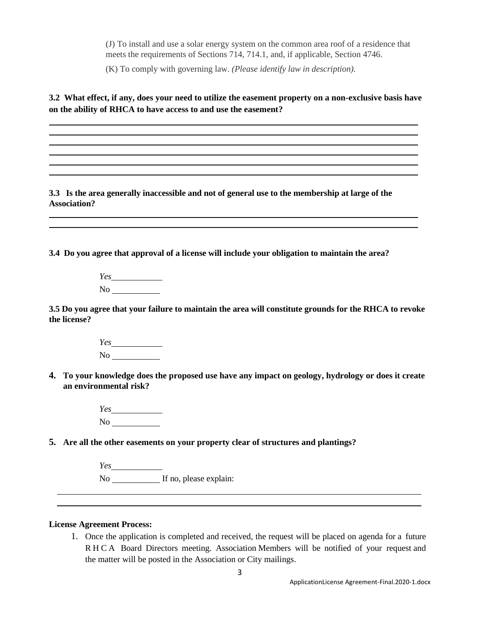(J) To install and use a solar energy system on the common area roof of a residence that meets the requirements of Sections 714, 714.1, and, if applicable, Section 4746.

(K) To comply with governing law. *(Please identify law in description).*

**3.2 What effect, if any, does your need to utilize the easement property on a non-exclusive basis have on the ability of RHCA to have access to and use the easement?**

**3.3 Is the area generally inaccessible and not of general use to the membership at large of the Association?** 

**3.4 Do you agree that approval of a license will include your obligation to maintain the area?**

*Yes* No

**3.5 Do you agree that your failure to maintain the area will constitute grounds for the RHCA to revoke the license?**

> *Yes* No

- **4. To your knowledge does the proposed use have any impact on geology, hydrology or does it create an environmental risk?**
	- *Yes*  $N<sub>0</sub>$  and  $\overline{\phantom{a}}$
- **5. Are all the other easements on your property clear of structures and plantings?**

*Yes* No If no, please explain:

#### **License Agreement Process:**

1. Once the application is completed and received, the request will be placed on agenda for a future RHCA Board Directors meeting. Association Members will be notified of your request and the matter will be posted in the Association or City mailings.